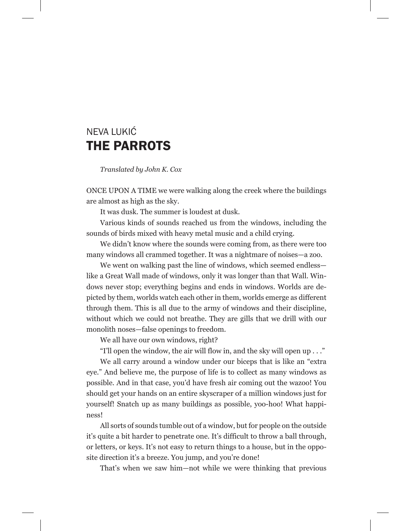## NEVA LUKIĆ THE PARROTS

 *Translated by John K. Cox*

ONCE UPON A TIME we were walking along the creek where the buildings are almost as high as the sky.

It was dusk. The summer is loudest at dusk.

Various kinds of sounds reached us from the windows, including the sounds of birds mixed with heavy metal music and a child crying.

We didn't know where the sounds were coming from, as there were too many windows all crammed together. It was a nightmare of noises—a zoo.

We went on walking past the line of windows, which seemed endless like a Great Wall made of windows, only it was longer than that Wall. Windows never stop; everything begins and ends in windows. Worlds are depicted by them, worlds watch each other in them, worlds emerge as different through them. This is all due to the army of windows and their discipline, without which we could not breathe. They are gills that we drill with our monolith noses—false openings to freedom.

We all have our own windows, right?

"I'll open the window, the air will flow in, and the sky will open up . . ."

We all carry around a window under our biceps that is like an "extra eye." And believe me, the purpose of life is to collect as many windows as possible. And in that case, you'd have fresh air coming out the wazoo! You should get your hands on an entire skyscraper of a million windows just for yourself! Snatch up as many buildings as possible, yoo-hoo! What happiness!

All sorts of sounds tumble out of a window, but for people on the outside it's quite a bit harder to penetrate one. It's difficult to throw a ball through, or letters, or keys. It's not easy to return things to a house, but in the opposite direction it's a breeze. You jump, and you're done!

That's when we saw him—not while we were thinking that previous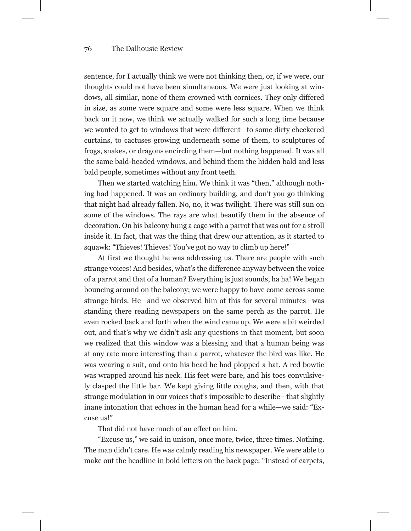## 76 The Dalhousie Review

sentence, for I actually think we were not thinking then, or, if we were, our thoughts could not have been simultaneous. We were just looking at windows, all similar, none of them crowned with cornices. They only differed in size, as some were square and some were less square. When we think back on it now, we think we actually walked for such a long time because we wanted to get to windows that were different—to some dirty checkered curtains, to cactuses growing underneath some of them, to sculptures of frogs, snakes, or dragons encircling them—but nothing happened. It was all the same bald-headed windows, and behind them the hidden bald and less bald people, sometimes without any front teeth.

Then we started watching him. We think it was "then," although nothing had happened. It was an ordinary building, and don't you go thinking that night had already fallen. No, no, it was twilight. There was still sun on some of the windows. The rays are what beautify them in the absence of decoration. On his balcony hung a cage with a parrot that was out for a stroll inside it. In fact, that was the thing that drew our attention, as it started to squawk: "Thieves! Thieves! You've got no way to climb up here!"

At first we thought he was addressing us. There are people with such strange voices! And besides, what's the difference anyway between the voice of a parrot and that of a human? Everything is just sounds, ha ha! We began bouncing around on the balcony; we were happy to have come across some strange birds. He—and we observed him at this for several minutes—was standing there reading newspapers on the same perch as the parrot. He even rocked back and forth when the wind came up. We were a bit weirded out, and that's why we didn't ask any questions in that moment, but soon we realized that this window was a blessing and that a human being was at any rate more interesting than a parrot, whatever the bird was like. He was wearing a suit, and onto his head he had plopped a hat. A red bowtie was wrapped around his neck. His feet were bare, and his toes convulsively clasped the little bar. We kept giving little coughs, and then, with that strange modulation in our voices that's impossible to describe—that slightly inane intonation that echoes in the human head for a while—we said: "Excuse us!"

That did not have much of an effect on him.

"Excuse us," we said in unison, once more, twice, three times. Nothing. The man didn't care. He was calmly reading his newspaper. We were able to make out the headline in bold letters on the back page: "Instead of carpets,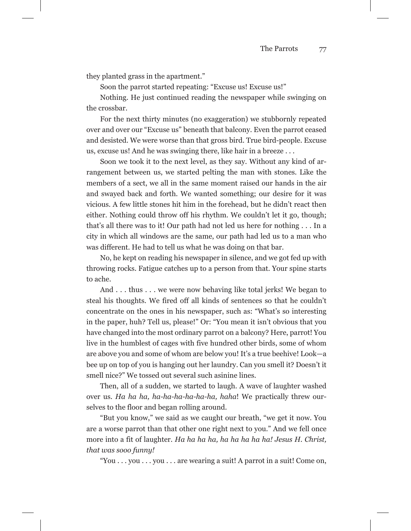they planted grass in the apartment."

Soon the parrot started repeating: "Excuse us! Excuse us!"

Nothing. He just continued reading the newspaper while swinging on the crossbar.

For the next thirty minutes (no exaggeration) we stubbornly repeated over and over our "Excuse us" beneath that balcony. Even the parrot ceased and desisted. We were worse than that gross bird. True bird-people. Excuse us, excuse us! And he was swinging there, like hair in a breeze . . .

Soon we took it to the next level, as they say. Without any kind of arrangement between us, we started pelting the man with stones. Like the members of a sect, we all in the same moment raised our hands in the air and swayed back and forth. We wanted something; our desire for it was vicious. A few little stones hit him in the forehead, but he didn't react then either. Nothing could throw off his rhythm. We couldn't let it go, though; that's all there was to it! Our path had not led us here for nothing . . . In a city in which all windows are the same, our path had led us to a man who was different. He had to tell us what he was doing on that bar.

No, he kept on reading his newspaper in silence, and we got fed up with throwing rocks. Fatigue catches up to a person from that. Your spine starts to ache.

And . . . thus . . . we were now behaving like total jerks! We began to steal his thoughts. We fired off all kinds of sentences so that he couldn't concentrate on the ones in his newspaper, such as: "What's so interesting in the paper, huh? Tell us, please!" Or: "You mean it isn't obvious that you have changed into the most ordinary parrot on a balcony? Here, parrot! You live in the humblest of cages with five hundred other birds, some of whom are above you and some of whom are below you! It's a true beehive! Look—a bee up on top of you is hanging out her laundry. Can you smell it? Doesn't it smell nice?" We tossed out several such asinine lines.

Then, all of a sudden, we started to laugh. A wave of laughter washed over us. *Ha ha ha, ha-ha-ha-ha-ha-ha, haha*! We practically threw ourselves to the floor and began rolling around.

"But you know," we said as we caught our breath, "we get it now. You are a worse parrot than that other one right next to you." And we fell once more into a fit of laughter. *Ha ha ha ha, ha ha ha ha ha! Jesus H. Christ, that was sooo funny!*

"You . . . you . . . you . . . are wearing a suit! A parrot in a suit! Come on,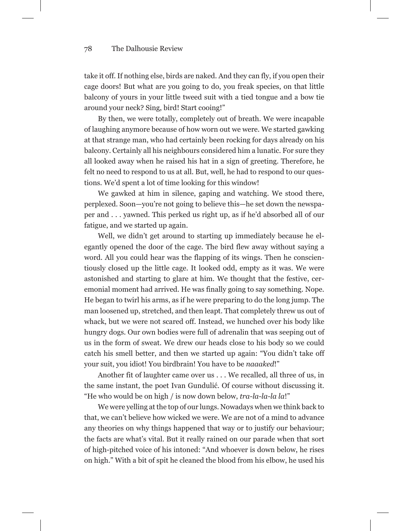## 78 The Dalhousie Review

take it off. If nothing else, birds are naked. And they can fly, if you open their cage doors! But what are you going to do, you freak species, on that little balcony of yours in your little tweed suit with a tied tongue and a bow tie around your neck? Sing, bird! Start cooing!"

By then, we were totally, completely out of breath. We were incapable of laughing anymore because of how worn out we were. We started gawking at that strange man, who had certainly been rocking for days already on his balcony. Certainly all his neighbours considered him a lunatic. For sure they all looked away when he raised his hat in a sign of greeting. Therefore, he felt no need to respond to us at all. But, well, he had to respond to our questions. We'd spent a lot of time looking for this window!

We gawked at him in silence, gaping and watching. We stood there, perplexed. Soon—you're not going to believe this—he set down the newspaper and . . . yawned. This perked us right up, as if he'd absorbed all of our fatigue, and we started up again.

Well, we didn't get around to starting up immediately because he elegantly opened the door of the cage. The bird flew away without saying a word. All you could hear was the flapping of its wings. Then he conscientiously closed up the little cage. It looked odd, empty as it was. We were astonished and starting to glare at him. We thought that the festive, ceremonial moment had arrived. He was finally going to say something. Nope. He began to twirl his arms, as if he were preparing to do the long jump. The man loosened up, stretched, and then leapt. That completely threw us out of whack, but we were not scared off. Instead, we hunched over his body like hungry dogs. Our own bodies were full of adrenalin that was seeping out of us in the form of sweat. We drew our heads close to his body so we could catch his smell better, and then we started up again: "You didn't take off your suit, you idiot! You birdbrain! You have to be *naaaked*!"

Another fit of laughter came over us . . . We recalled, all three of us, in the same instant, the poet Ivan Gundulić. Of course without discussing it. "He who would be on high / is now down below, *tra-la-la-la la*!"

We were yelling at the top of our lungs. Nowadays when we think back to that, we can't believe how wicked we were. We are not of a mind to advance any theories on why things happened that way or to justify our behaviour; the facts are what's vital. But it really rained on our parade when that sort of high-pitched voice of his intoned: "And whoever is down below, he rises on high." With a bit of spit he cleaned the blood from his elbow, he used his